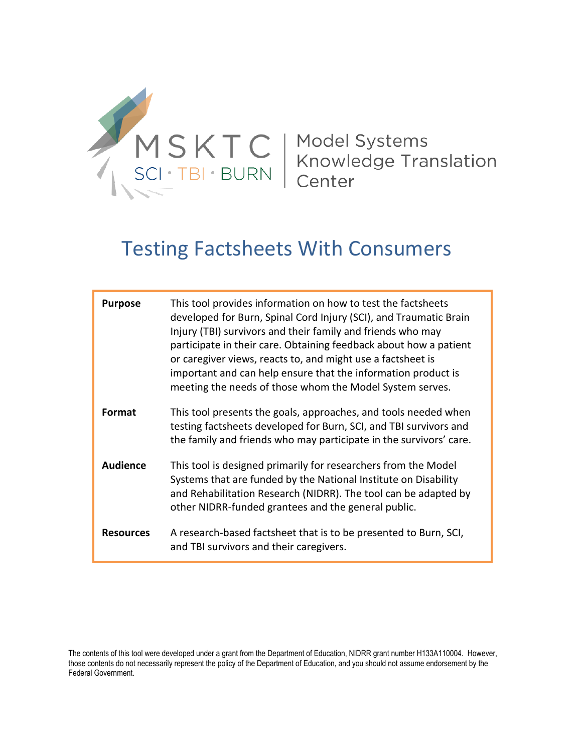

| <b>Purpose</b>   | This tool provides information on how to test the factsheets<br>developed for Burn, Spinal Cord Injury (SCI), and Traumatic Brain<br>Injury (TBI) survivors and their family and friends who may<br>participate in their care. Obtaining feedback about how a patient<br>or caregiver views, reacts to, and might use a factsheet is<br>important and can help ensure that the information product is<br>meeting the needs of those whom the Model System serves. |
|------------------|-------------------------------------------------------------------------------------------------------------------------------------------------------------------------------------------------------------------------------------------------------------------------------------------------------------------------------------------------------------------------------------------------------------------------------------------------------------------|
| <b>Format</b>    | This tool presents the goals, approaches, and tools needed when<br>testing factsheets developed for Burn, SCI, and TBI survivors and<br>the family and friends who may participate in the survivors' care.                                                                                                                                                                                                                                                        |
| <b>Audience</b>  | This tool is designed primarily for researchers from the Model<br>Systems that are funded by the National Institute on Disability<br>and Rehabilitation Research (NIDRR). The tool can be adapted by<br>other NIDRR-funded grantees and the general public.                                                                                                                                                                                                       |
| <b>Resources</b> | A research-based factsheet that is to be presented to Burn, SCI,<br>and TBI survivors and their caregivers.                                                                                                                                                                                                                                                                                                                                                       |

The contents of this tool were developed under a grant from the Department of Education, NIDRR grant number H133A110004. However, those contents do not necessarily represent the policy of the Department of Education, and you should not assume endorsement by the Federal Government.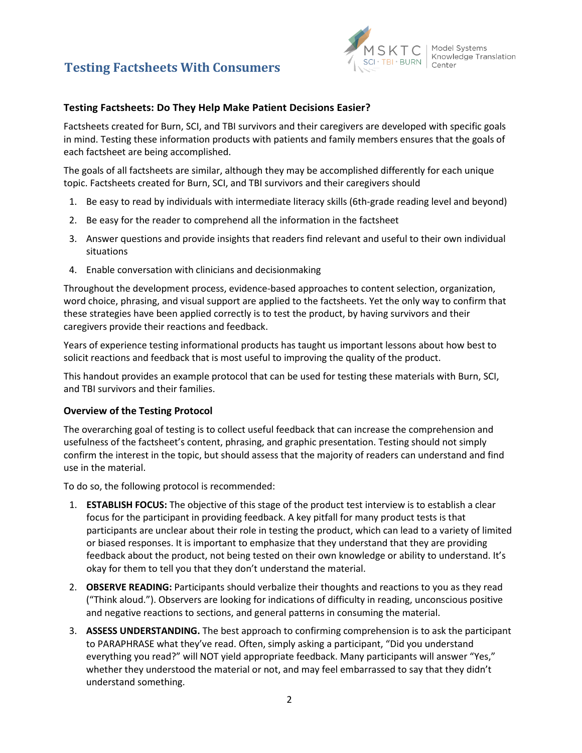

#### **Testing Factsheets: Do They Help Make Patient Decisions Easier?**

Factsheets created for Burn, SCI, and TBI survivors and their caregivers are developed with specific goals in mind. Testing these information products with patients and family members ensures that the goals of each factsheet are being accomplished.

The goals of all factsheets are similar, although they may be accomplished differently for each unique topic. Factsheets created for Burn, SCI, and TBI survivors and their caregivers should

- 1. Be easy to read by individuals with intermediate literacy skills (6th-grade reading level and beyond)
- 2. Be easy for the reader to comprehend all the information in the factsheet
- 3. Answer questions and provide insights that readers find relevant and useful to their own individual situations
- 4. Enable conversation with clinicians and decisionmaking

Throughout the development process, evidence-based approaches to content selection, organization, word choice, phrasing, and visual support are applied to the factsheets. Yet the only way to confirm that these strategies have been applied correctly is to test the product, by having survivors and their caregivers provide their reactions and feedback.

Years of experience testing informational products has taught us important lessons about how best to solicit reactions and feedback that is most useful to improving the quality of the product.

This handout provides an example protocol that can be used for testing these materials with Burn, SCI, and TBI survivors and their families.

#### **Overview of the Testing Protocol**

The overarching goal of testing is to collect useful feedback that can increase the comprehension and usefulness of the factsheet's content, phrasing, and graphic presentation. Testing should not simply confirm the interest in the topic, but should assess that the majority of readers can understand and find use in the material.

To do so, the following protocol is recommended:

- 1. **ESTABLISH FOCUS:** The objective of this stage of the product test interview is to establish a clear focus for the participant in providing feedback. A key pitfall for many product tests is that participants are unclear about their role in testing the product, which can lead to a variety of limited or biased responses. It is important to emphasize that they understand that they are providing feedback about the product, not being tested on their own knowledge or ability to understand. It's okay for them to tell you that they don't understand the material.
- 2. **OBSERVE READING:** Participants should verbalize their thoughts and reactions to you as they read ("Think aloud."). Observers are looking for indications of difficulty in reading, unconscious positive and negative reactions to sections, and general patterns in consuming the material.
- 3. **ASSESS UNDERSTANDING.** The best approach to confirming comprehension is to ask the participant to PARAPHRASE what they've read. Often, simply asking a participant, "Did you understand everything you read?" will NOT yield appropriate feedback. Many participants will answer "Yes," whether they understood the material or not, and may feel embarrassed to say that they didn't understand something.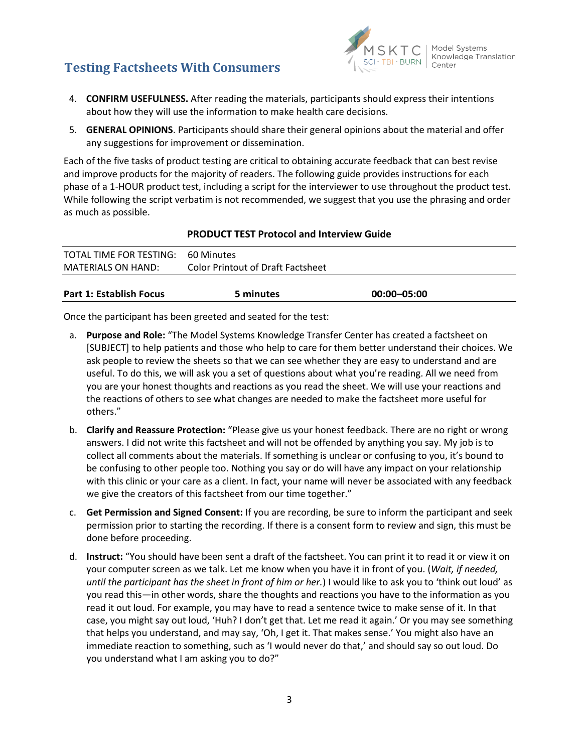

- 4. **CONFIRM USEFULNESS.** After reading the materials, participants should express their intentions about how they will use the information to make health care decisions.
- 5. **GENERAL OPINIONS**. Participants should share their general opinions about the material and offer any suggestions for improvement or dissemination.

Each of the five tasks of product testing are critical to obtaining accurate feedback that can best revise and improve products for the majority of readers. The following guide provides instructions for each phase of a 1-HOUR product test, including a script for the interviewer to use throughout the product test. While following the script verbatim is not recommended, we suggest that you use the phrasing and order as much as possible.

#### **PRODUCT TEST Protocol and Interview Guide**

| TOTAL TIME FOR TESTING: 60 Minutes |                                          |
|------------------------------------|------------------------------------------|
| <b>MATERIALS ON HAND:</b>          | <b>Color Printout of Draft Factsheet</b> |
|                                    |                                          |

| <b>Part 1: Establish Focus</b> | 5 minutes | $00:00 - 05:00$ |
|--------------------------------|-----------|-----------------|
|                                |           |                 |

Once the participant has been greeted and seated for the test:

- a. **Purpose and Role:** "The Model Systems Knowledge Transfer Center has created a factsheet on [SUBJECT] to help patients and those who help to care for them better understand their choices. We ask people to review the sheets so that we can see whether they are easy to understand and are useful. To do this, we will ask you a set of questions about what you're reading. All we need from you are your honest thoughts and reactions as you read the sheet. We will use your reactions and the reactions of others to see what changes are needed to make the factsheet more useful for others."
- b. **Clarify and Reassure Protection:** "Please give us your honest feedback. There are no right or wrong answers. I did not write this factsheet and will not be offended by anything you say. My job is to collect all comments about the materials. If something is unclear or confusing to you, it's bound to be confusing to other people too. Nothing you say or do will have any impact on your relationship with this clinic or your care as a client. In fact, your name will never be associated with any feedback we give the creators of this factsheet from our time together."
- c. **Get Permission and Signed Consent:** If you are recording, be sure to inform the participant and seek permission prior to starting the recording. If there is a consent form to review and sign, this must be done before proceeding.
- d. **Instruct:** "You should have been sent a draft of the factsheet. You can print it to read it or view it on your computer screen as we talk. Let me know when you have it in front of you. (*Wait, if needed, until the participant has the sheet in front of him or her.*) I would like to ask you to 'think out loud' as you read this—in other words, share the thoughts and reactions you have to the information as you read it out loud. For example, you may have to read a sentence twice to make sense of it. In that case, you might say out loud, 'Huh? I don't get that. Let me read it again.' Or you may see something that helps you understand, and may say, 'Oh, I get it. That makes sense.' You might also have an immediate reaction to something, such as 'I would never do that,' and should say so out loud. Do you understand what I am asking you to do?"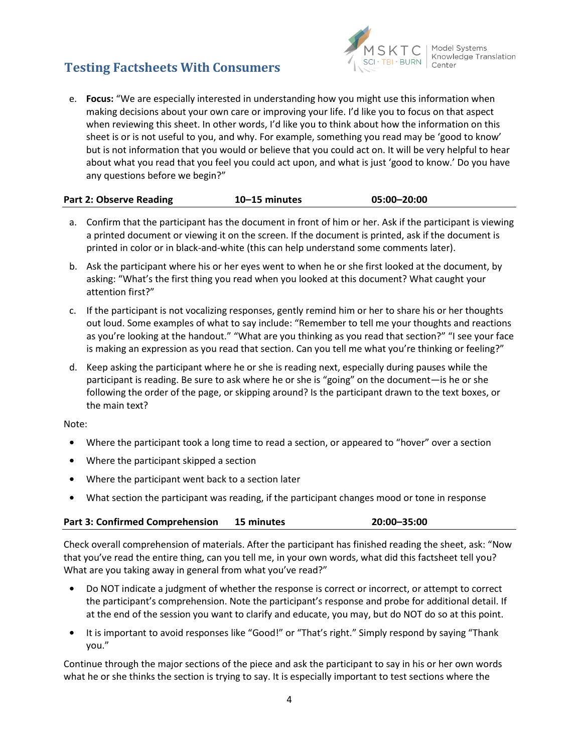

e. **Focus:** "We are especially interested in understanding how you might use this information when making decisions about your own care or improving your life. I'd like you to focus on that aspect when reviewing this sheet. In other words, I'd like you to think about how the information on this sheet is or is not useful to you, and why. For example, something you read may be 'good to know' but is not information that you would or believe that you could act on. It will be very helpful to hear about what you read that you feel you could act upon, and what is just 'good to know.' Do you have any questions before we begin?"

| Part 2: Observe Reading | $10 - 15$ minutes | 05:00-20:00 |
|-------------------------|-------------------|-------------|
|                         |                   |             |

- a. Confirm that the participant has the document in front of him or her. Ask if the participant is viewing a printed document or viewing it on the screen. If the document is printed, ask if the document is printed in color or in black-and-white (this can help understand some comments later).
- b. Ask the participant where his or her eyes went to when he or she first looked at the document, by asking: "What's the first thing you read when you looked at this document? What caught your attention first?"
- c. If the participant is not vocalizing responses, gently remind him or her to share his or her thoughts out loud. Some examples of what to say include: "Remember to tell me your thoughts and reactions as you're looking at the handout." "What are you thinking as you read that section?" "I see your face is making an expression as you read that section. Can you tell me what you're thinking or feeling?"
- d. Keep asking the participant where he or she is reading next, especially during pauses while the participant is reading. Be sure to ask where he or she is "going" on the document—is he or she following the order of the page, or skipping around? Is the participant drawn to the text boxes, or the main text?

Note:

- Where the participant took a long time to read a section, or appeared to "hover" over a section
- **•** Where the participant skipped a section
- **•** Where the participant went back to a section later
- **•** What section the participant was reading, if the participant changes mood or tone in response

#### **Part 3: Confirmed Comprehension 15 minutes 20:00–35:00**

Check overall comprehension of materials. After the participant has finished reading the sheet, ask: "Now that you've read the entire thing, can you tell me, in your own words, what did this factsheet tell you? What are you taking away in general from what you've read?"

- **•** Do NOT indicate a judgment of whether the response is correct or incorrect, or attempt to correct the participant's comprehension. Note the participant's response and probe for additional detail. If at the end of the session you want to clarify and educate, you may, but do NOT do so at this point.
- **•** It is important to avoid responses like "Good!" or "That's right." Simply respond by saying "Thank you."

Continue through the major sections of the piece and ask the participant to say in his or her own words what he or she thinks the section is trying to say. It is especially important to test sections where the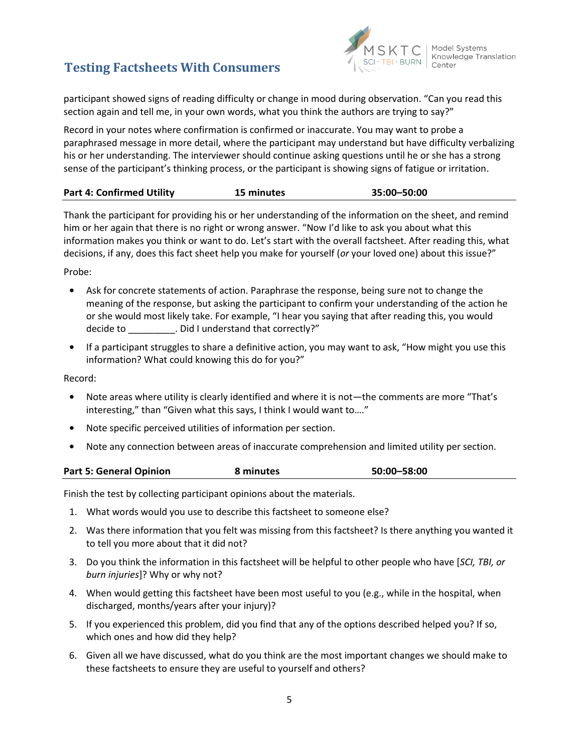

participant showed signs of reading difficulty or change in mood during observation. "Can you read this section again and tell me, in your own words, what you think the authors are trying to say?"

Record in your notes where confirmation is confirmed or inaccurate. You may want to probe a paraphrased message in more detail, where the participant may understand but have difficulty verbalizing his or her understanding. The interviewer should continue asking questions until he or she has a strong sense of the participant's thinking process, or the participant is showing signs of fatigue or irritation.

| <b>Part 4: Confirmed Utility</b> | 15 minutes | 35:00-50:00 |
|----------------------------------|------------|-------------|
|                                  |            |             |

Thank the participant for providing his or her understanding of the information on the sheet, and remind him or her again that there is no right or wrong answer. "Now I'd like to ask you about what this information makes you think or want to do. Let's start with the overall factsheet. After reading this, what decisions, if any, does this fact sheet help you make for yourself (*or* your loved one) about this issue?"

Probe:

- **•** Ask for concrete statements of action. Paraphrase the response, being sure not to change the meaning of the response, but asking the participant to confirm your understanding of the action he or she would most likely take. For example, "I hear you saying that after reading this, you would decide to \_\_\_\_\_\_\_\_\_. Did I understand that correctly?"
- **•** If a participant struggles to share a definitive action, you may want to ask, "How might you use this information? What could knowing this do for you?"

Record:

- **•** Note areas where utility is clearly identified and where it is not—the comments are more "That's interesting," than "Given what this says, I think I would want to…."
- **•** Note specific perceived utilities of information per section.
- **•** Note any connection between areas of inaccurate comprehension and limited utility per section.

| <b>Part 5: General Opinion</b> | 8 minutes | 50:00-58:00 |  |
|--------------------------------|-----------|-------------|--|

Finish the test by collecting participant opinions about the materials.

- 1. What words would you use to describe this factsheet to someone else?
- 2. Was there information that you felt was missing from this factsheet? Is there anything you wanted it to tell you more about that it did not?
- 3. Do you think the information in this factsheet will be helpful to other people who have [*SCI, TBI, or burn injuries*]? Why or why not?
- 4. When would getting this factsheet have been most useful to you (e.g., while in the hospital, when discharged, months/years after your injury)?
- 5. If you experienced this problem, did you find that any of the options described helped you? If so, which ones and how did they help?
- 6. Given all we have discussed, what do you think are the most important changes we should make to these factsheets to ensure they are useful to yourself and others?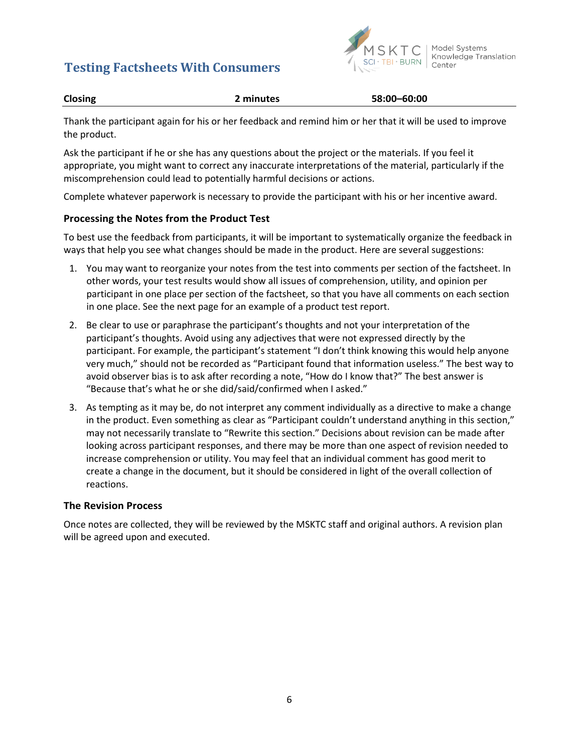

| <b>Closing</b> | 2 minutes | 58:00-60:00 |
|----------------|-----------|-------------|
|                |           |             |

Thank the participant again for his or her feedback and remind him or her that it will be used to improve the product.

Ask the participant if he or she has any questions about the project or the materials. If you feel it appropriate, you might want to correct any inaccurate interpretations of the material, particularly if the miscomprehension could lead to potentially harmful decisions or actions.

Complete whatever paperwork is necessary to provide the participant with his or her incentive award.

#### **Processing the Notes from the Product Test**

To best use the feedback from participants, it will be important to systematically organize the feedback in ways that help you see what changes should be made in the product. Here are several suggestions:

- 1. You may want to reorganize your notes from the test into comments per section of the factsheet. In other words, your test results would show all issues of comprehension, utility, and opinion per participant in one place per section of the factsheet, so that you have all comments on each section in one place. See the next page for an example of a product test report.
- 2. Be clear to use or paraphrase the participant's thoughts and not your interpretation of the participant's thoughts. Avoid using any adjectives that were not expressed directly by the participant. For example, the participant's statement "I don't think knowing this would help anyone very much," should not be recorded as "Participant found that information useless." The best way to avoid observer bias is to ask after recording a note, "How do I know that?" The best answer is "Because that's what he or she did/said/confirmed when I asked."
- 3. As tempting as it may be, do not interpret any comment individually as a directive to make a change in the product. Even something as clear as "Participant couldn't understand anything in this section," may not necessarily translate to "Rewrite this section." Decisions about revision can be made after looking across participant responses, and there may be more than one aspect of revision needed to increase comprehension or utility. You may feel that an individual comment has good merit to create a change in the document, but it should be considered in light of the overall collection of reactions.

#### **The Revision Process**

Once notes are collected, they will be reviewed by the MSKTC staff and original authors. A revision plan will be agreed upon and executed.